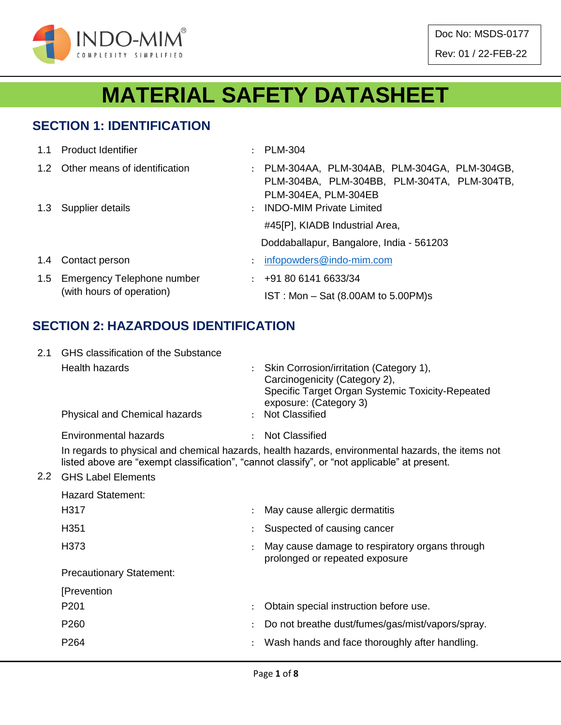

Doc No: MSDS-0177 Rev: 01 / 22-FEB-22

# **MATERIAL SAFETY DATASHEET**

#### **SECTION 1: IDENTIFICATION**

| 1.1 Product Identifier                                      |               | : PLM-304                                                                                                            |
|-------------------------------------------------------------|---------------|----------------------------------------------------------------------------------------------------------------------|
| 1.2 Other means of identification                           |               | : PLM-304AA, PLM-304AB, PLM-304GA, PLM-304GB,<br>PLM-304BA, PLM-304BB, PLM-304TA, PLM-304TB,<br>PLM-304EA, PLM-304EB |
| 1.3 Supplier details                                        | $\mathcal{L}$ | <b>INDO-MIM Private Limited</b><br>#45[P], KIADB Industrial Area,                                                    |
|                                                             |               | Doddaballapur, Bangalore, India - 561203                                                                             |
| 1.4 Contact person                                          |               | infopowders@indo-mim.com                                                                                             |
| 1.5 Emergency Telephone number<br>(with hours of operation) |               | $\div$ +91 80 6141 6633/34<br>$IST: Mon - Sat (8.00AM to 5.00PM)s$                                                   |

#### **SECTION 2: HAZARDOUS IDENTIFICATION**

| 2.1           | <b>GHS</b> classification of the Substance |                                                                                                                                                                                                   |
|---------------|--------------------------------------------|---------------------------------------------------------------------------------------------------------------------------------------------------------------------------------------------------|
|               | <b>Health hazards</b>                      | Skin Corrosion/irritation (Category 1),<br>Carcinogenicity (Category 2),<br>Specific Target Organ Systemic Toxicity-Repeated<br>exposure: (Category 3)                                            |
|               | Physical and Chemical hazards              | <b>Not Classified</b>                                                                                                                                                                             |
|               | Environmental hazards                      | <b>Not Classified</b>                                                                                                                                                                             |
|               |                                            | In regards to physical and chemical hazards, health hazards, environmental hazards, the items not<br>listed above are "exempt classification", "cannot classify", or "not applicable" at present. |
| $2.2^{\circ}$ | <b>GHS Label Elements</b>                  |                                                                                                                                                                                                   |
|               | <b>Hazard Statement:</b>                   |                                                                                                                                                                                                   |
|               | H317                                       | May cause allergic dermatitis                                                                                                                                                                     |
|               | H <sub>351</sub>                           | Suspected of causing cancer                                                                                                                                                                       |
|               | H <sub>3</sub> 73                          | May cause damage to respiratory organs through<br>prolonged or repeated exposure                                                                                                                  |
|               | <b>Precautionary Statement:</b>            |                                                                                                                                                                                                   |
|               | [Prevention                                |                                                                                                                                                                                                   |
|               | P <sub>201</sub>                           | Obtain special instruction before use.                                                                                                                                                            |
|               | P <sub>260</sub>                           | Do not breathe dust/fumes/gas/mist/vapors/spray.                                                                                                                                                  |
|               | P264                                       | Wash hands and face thoroughly after handling.                                                                                                                                                    |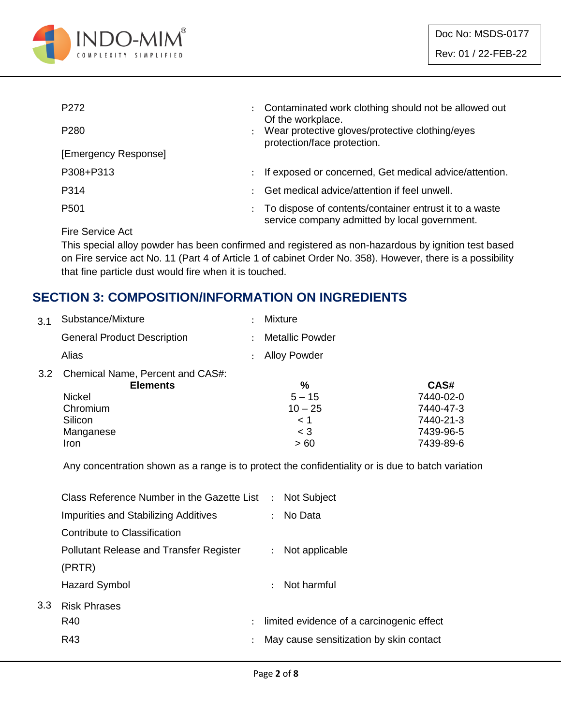

| P <sub>272</sub>                                                                                                                                                                                                                                                                                                                                                                                                                                                                           | $\ddot{\phantom{0}}$ | Contaminated work clothing should not be allowed out<br>Of the workplace.                               |
|--------------------------------------------------------------------------------------------------------------------------------------------------------------------------------------------------------------------------------------------------------------------------------------------------------------------------------------------------------------------------------------------------------------------------------------------------------------------------------------------|----------------------|---------------------------------------------------------------------------------------------------------|
| P <sub>280</sub>                                                                                                                                                                                                                                                                                                                                                                                                                                                                           |                      | Wear protective gloves/protective clothing/eyes<br>protection/face protection.                          |
| [Emergency Response]                                                                                                                                                                                                                                                                                                                                                                                                                                                                       |                      |                                                                                                         |
| P308+P313                                                                                                                                                                                                                                                                                                                                                                                                                                                                                  | $\ddot{\phantom{a}}$ | If exposed or concerned, Get medical advice/attention.                                                  |
| P314                                                                                                                                                                                                                                                                                                                                                                                                                                                                                       | ٠                    | Get medical advice/attention if feel unwell.                                                            |
| P <sub>501</sub>                                                                                                                                                                                                                                                                                                                                                                                                                                                                           | ÷                    | To dispose of contents/container entrust it to a waste<br>service company admitted by local government. |
| $\blacksquare$ $\blacksquare$ $\blacksquare$ $\blacksquare$ $\blacksquare$ $\blacksquare$ $\blacksquare$ $\blacksquare$ $\blacksquare$ $\blacksquare$ $\blacksquare$ $\blacksquare$ $\blacksquare$ $\blacksquare$ $\blacksquare$ $\blacksquare$ $\blacksquare$ $\blacksquare$ $\blacksquare$ $\blacksquare$ $\blacksquare$ $\blacksquare$ $\blacksquare$ $\blacksquare$ $\blacksquare$ $\blacksquare$ $\blacksquare$ $\blacksquare$ $\blacksquare$ $\blacksquare$ $\blacksquare$ $\blacks$ |                      |                                                                                                         |

Fire Service Act

This special alloy powder has been confirmed and registered as non-hazardous by ignition test based on Fire service act No. 11 (Part 4 of Article 1 of cabinet Order No. 358). However, there is a possibility that fine particle dust would fire when it is touched.

#### **SECTION 3: COMPOSITION/INFORMATION ON INGREDIENTS**

| 3.1 | Substance/Mixture                                   | <b>Mixture</b>         |           |
|-----|-----------------------------------------------------|------------------------|-----------|
|     | <b>General Product Description</b>                  | <b>Metallic Powder</b> |           |
|     | Alias                                               | <b>Alloy Powder</b>    |           |
| 3.2 | Chemical Name, Percent and CAS#:<br><b>Elements</b> | %                      | CAS#      |
|     |                                                     |                        |           |
|     | <b>Nickel</b>                                       | $5 - 15$               | 7440-02-0 |
|     | Chromium                                            | $10 - 25$              | 7440-47-3 |
|     | Silicon                                             | < 1                    | 7440-21-3 |
|     | Manganese                                           | $\leq 3$               | 7439-96-5 |
|     | Iron                                                | >60                    | 7439-89-6 |
|     |                                                     |                        |           |

Any concentration shown as a range is to protect the confidentiality or is due to batch variation

|     | Class Reference Number in the Gazette List : Not Subject |               |               |                                           |
|-----|----------------------------------------------------------|---------------|---------------|-------------------------------------------|
|     | Impurities and Stabilizing Additives                     |               |               | : No Data                                 |
|     | Contribute to Classification                             |               |               |                                           |
|     | <b>Pollutant Release and Transfer Register</b>           |               | $\mathcal{L}$ | Not applicable                            |
|     | (PRTR)                                                   |               |               |                                           |
|     | Hazard Symbol                                            |               |               | $\therefore$ Not harmful                  |
| 3.3 | <b>Risk Phrases</b>                                      |               |               |                                           |
|     | R40                                                      | $\mathcal{L}$ |               | limited evidence of a carcinogenic effect |
|     | R43                                                      |               |               | May cause sensitization by skin contact   |
|     |                                                          |               |               |                                           |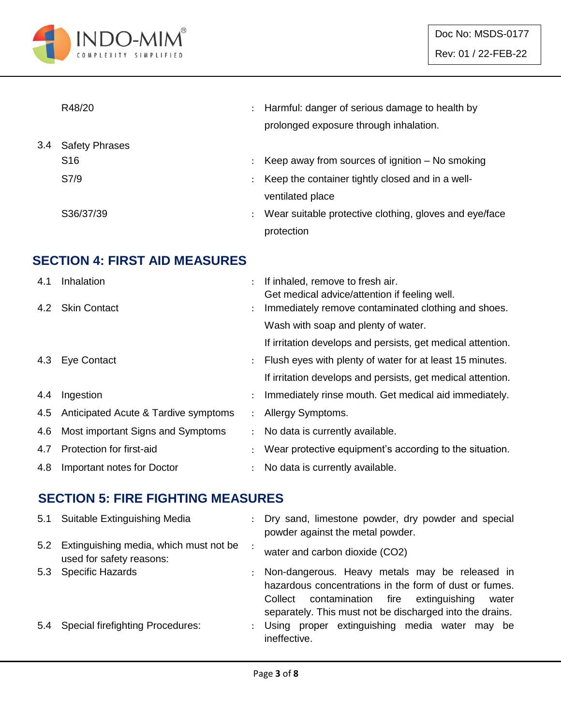

|     | R48/20                | $\ddot{\phantom{a}}$ | Harmful: danger of serious damage to health by<br>prolonged exposure through inhalation. |
|-----|-----------------------|----------------------|------------------------------------------------------------------------------------------|
| 3.4 | <b>Safety Phrases</b> |                      |                                                                                          |
|     | S <sub>16</sub>       |                      | Keep away from sources of ignition $-$ No smoking                                        |
|     | S7/9                  | ÷                    | Keep the container tightly closed and in a well-                                         |
|     |                       |                      | ventilated place                                                                         |
|     | S36/37/39             | $\ddot{\phantom{a}}$ | Wear suitable protective clothing, gloves and eye/face                                   |
|     |                       |                      | protection                                                                               |

### **SECTION 4: FIRST AID MEASURES**

| 4.1 | Inhalation                           |                      | If inhaled, remove to fresh air.<br>Get medical advice/attention if feeling well. |
|-----|--------------------------------------|----------------------|-----------------------------------------------------------------------------------|
|     | 4.2 Skin Contact                     | $\ddot{\phantom{0}}$ | Immediately remove contaminated clothing and shoes.                               |
|     |                                      |                      | Wash with soap and plenty of water.                                               |
|     |                                      |                      | If irritation develops and persists, get medical attention.                       |
|     | 4.3 Eye Contact                      | $\mathcal{L}$        | Flush eyes with plenty of water for at least 15 minutes.                          |
|     |                                      |                      | If irritation develops and persists, get medical attention.                       |
| 4.4 | Ingestion                            |                      | Immediately rinse mouth. Get medical aid immediately.                             |
| 4.5 | Anticipated Acute & Tardive symptoms | $\mathcal{L}$        | Allergy Symptoms.                                                                 |
| 4.6 | Most important Signs and Symptoms    | $\mathcal{L}$        | No data is currently available.                                                   |
| 4.7 | Protection for first-aid             |                      | Wear protective equipment's according to the situation.                           |
| 4.8 | Important notes for Doctor           |                      | No data is currently available.                                                   |

#### **SECTION 5: FIRE FIGHTING MEASURES**

|     | 5.1 Suitable Extinguishing Media                                       | $\mathcal{L}$ | Dry sand, limestone powder, dry powder and special<br>powder against the metal powder.                                                                                                                                         |
|-----|------------------------------------------------------------------------|---------------|--------------------------------------------------------------------------------------------------------------------------------------------------------------------------------------------------------------------------------|
|     | 5.2 Extinguishing media, which must not be<br>used for safety reasons: |               | water and carbon dioxide (CO2)                                                                                                                                                                                                 |
|     | 5.3 Specific Hazards                                                   |               | : Non-dangerous. Heavy metals may be released in<br>hazardous concentrations in the form of dust or fumes.<br>contamination fire extinguishing<br>Collect<br>water<br>separately. This must not be discharged into the drains. |
| 5.4 | <b>Special firefighting Procedures:</b>                                |               | : Using proper extinguishing media water may be<br>ineffective.                                                                                                                                                                |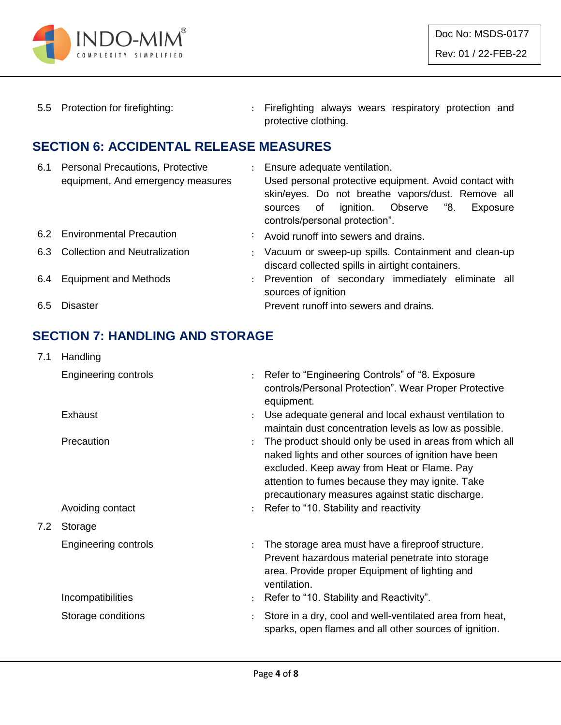

5.5 Protection for firefighting: : Firefighting always wears respiratory protection and protective clothing.

#### **SECTION 6: ACCIDENTAL RELEASE MEASURES**

| 6.1 | <b>Personal Precautions, Protective</b><br>equipment, And emergency measures | : Ensure adequate ventilation.<br>Used personal protective equipment. Avoid contact with<br>skin/eyes. Do not breathe vapors/dust. Remove all<br>ignition. Observe "8.<br>sources of<br>Exposure<br>controls/personal protection". |
|-----|------------------------------------------------------------------------------|------------------------------------------------------------------------------------------------------------------------------------------------------------------------------------------------------------------------------------|
|     | 6.2 Environmental Precaution                                                 | : Avoid runoff into sewers and drains.                                                                                                                                                                                             |
|     | 6.3 Collection and Neutralization                                            | : Vacuum or sweep-up spills. Containment and clean-up<br>discard collected spills in airtight containers.                                                                                                                          |
|     | 6.4 Equipment and Methods                                                    | : Prevention of secondary immediately eliminate all<br>sources of ignition                                                                                                                                                         |
| 6.5 | Disaster                                                                     | Prevent runoff into sewers and drains.                                                                                                                                                                                             |

### **SECTION 7: HANDLING AND STORAGE**

| 7.1 | Handling                    |                      |                                                                                                                                                                                                                                                                        |
|-----|-----------------------------|----------------------|------------------------------------------------------------------------------------------------------------------------------------------------------------------------------------------------------------------------------------------------------------------------|
|     | <b>Engineering controls</b> | $\ddot{\cdot}$       | Refer to "Engineering Controls" of "8. Exposure<br>controls/Personal Protection". Wear Proper Protective<br>equipment.                                                                                                                                                 |
|     | Exhaust                     |                      | Use adequate general and local exhaust ventilation to<br>maintain dust concentration levels as low as possible.                                                                                                                                                        |
|     | Precaution                  | $\ddot{\cdot}$       | The product should only be used in areas from which all<br>naked lights and other sources of ignition have been<br>excluded. Keep away from Heat or Flame. Pay<br>attention to fumes because they may ignite. Take<br>precautionary measures against static discharge. |
|     | Avoiding contact            | $\ddot{\phantom{a}}$ | Refer to "10. Stability and reactivity                                                                                                                                                                                                                                 |
| 7.2 | Storage                     |                      |                                                                                                                                                                                                                                                                        |
|     | <b>Engineering controls</b> | $\ddot{\phantom{a}}$ | The storage area must have a fireproof structure.<br>Prevent hazardous material penetrate into storage<br>area. Provide proper Equipment of lighting and<br>ventilation.                                                                                               |
|     | Incompatibilities           |                      | Refer to "10. Stability and Reactivity".                                                                                                                                                                                                                               |
|     | Storage conditions          |                      | Store in a dry, cool and well-ventilated area from heat,<br>sparks, open flames and all other sources of ignition.                                                                                                                                                     |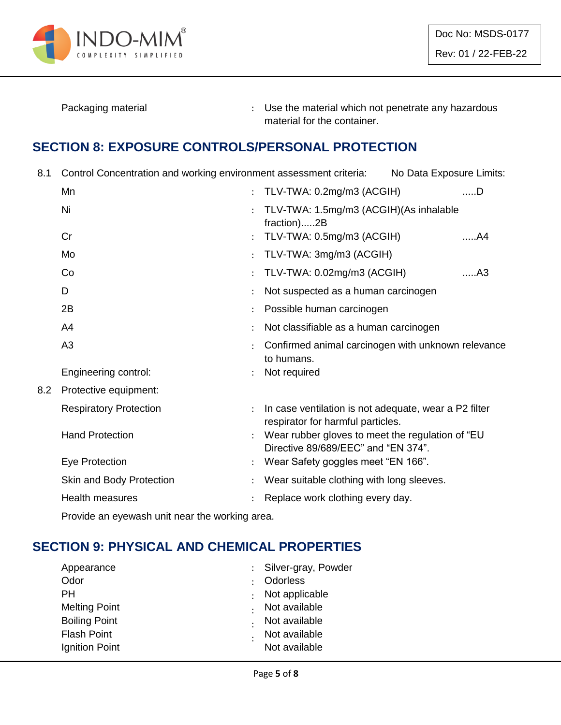

Packaging material **Packaging material in the material which not penetrate any hazardous** material for the container.

#### **SECTION 8: EXPOSURE CONTROLS/PERSONAL PROTECTION**

8.1 Control Concentration and working environment assessment criteria: No Data Exposure Limits:

|     | Mn                            | ÷                    | TLV-TWA: 0.2mg/m3 (ACGIH)                                                                  | $$ D           |
|-----|-------------------------------|----------------------|--------------------------------------------------------------------------------------------|----------------|
|     | Ni                            | $\ddot{\phantom{0}}$ | TLV-TWA: 1.5mg/m3 (ACGIH)(As inhalable<br>fraction)2B                                      |                |
|     | Cr                            |                      | TLV-TWA: 0.5mg/m3 (ACGIH)                                                                  | A4             |
|     | Mo                            | ÷                    | TLV-TWA: 3mg/m3 (ACGIH)                                                                    |                |
|     | Co                            |                      | TLV-TWA: 0.02mg/m3 (ACGIH)                                                                 | A <sub>3</sub> |
|     | D                             |                      | Not suspected as a human carcinogen                                                        |                |
|     | 2B                            |                      | Possible human carcinogen                                                                  |                |
|     | A <sub>4</sub>                |                      | Not classifiable as a human carcinogen                                                     |                |
|     | A <sub>3</sub>                |                      | Confirmed animal carcinogen with unknown relevance<br>to humans.                           |                |
|     | Engineering control:          |                      | Not required                                                                               |                |
| 8.2 | Protective equipment:         |                      |                                                                                            |                |
|     | <b>Respiratory Protection</b> |                      | In case ventilation is not adequate, wear a P2 filter<br>respirator for harmful particles. |                |
|     | <b>Hand Protection</b>        |                      | Wear rubber gloves to meet the regulation of "EU<br>Directive 89/689/EEC" and "EN 374".    |                |
|     | Eye Protection                |                      | Wear Safety goggles meet "EN 166".                                                         |                |
|     | Skin and Body Protection      |                      | Wear suitable clothing with long sleeves.                                                  |                |
|     | <b>Health measures</b>        |                      | Replace work clothing every day.                                                           |                |
|     |                               |                      |                                                                                            |                |

Provide an eyewash unit near the working area.

# **SECTION 9: PHYSICAL AND CHEMICAL PROPERTIES**

| Appearance           | : Silver-gray, Powder |
|----------------------|-----------------------|
| Odor                 | Odorless              |
| PН                   | Not applicable        |
| <b>Melting Point</b> | Not available         |
| <b>Boiling Point</b> | Not available         |
| <b>Flash Point</b>   | Not available         |
| Ignition Point       | Not available         |
|                      |                       |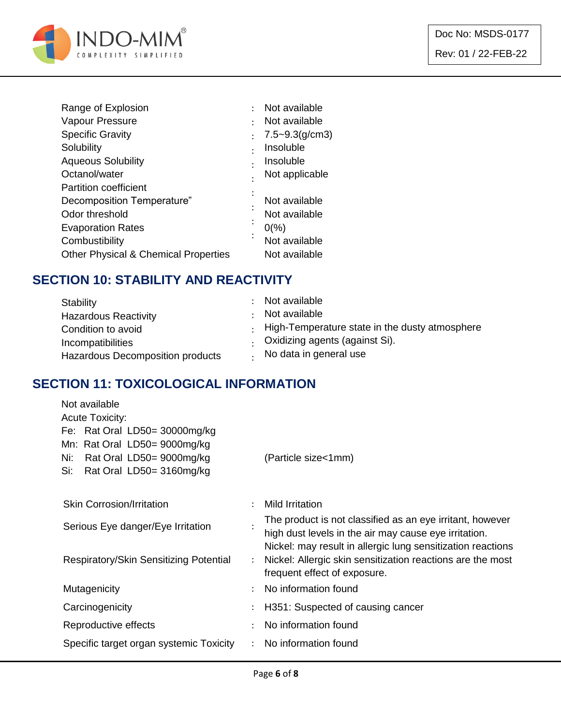

|   | Not available       |
|---|---------------------|
| ٠ | Not available       |
|   | $7.5 - 9.3$ (g/cm3) |
| ٠ | Insoluble           |
|   | Insoluble           |
|   | Not applicable      |
|   |                     |
|   | Not available       |
|   | Not available       |
|   | $0\frac{9}{6}$      |
| ٠ | Not available       |
|   | Not available       |
|   |                     |

#### **SECTION 10: STABILITY AND REACTIVITY**

| Stability<br><b>Hazardous Reactivity</b><br>Condition to avoid<br>Incompatibilities | Not available<br>Not available<br>$\cdot$ High-Temperature state in the dusty atmosphere<br>. Oxidizing agents (against Si). |
|-------------------------------------------------------------------------------------|------------------------------------------------------------------------------------------------------------------------------|
| Hazardous Decomposition products                                                    | No data in general use                                                                                                       |

#### **SECTION 11: TOXICOLOGICAL INFORMATION**

| Not available                                                 |                      |                                                                                                                    |
|---------------------------------------------------------------|----------------------|--------------------------------------------------------------------------------------------------------------------|
| <b>Acute Toxicity:</b>                                        |                      |                                                                                                                    |
| Fe: Rat Oral LD50= 30000mg/kg<br>Mn: Rat Oral LD50= 9000mg/kg |                      |                                                                                                                    |
| Rat Oral LD50= 9000mg/kg<br>Ni:                               |                      | (Particle size<1mm)                                                                                                |
| Rat Oral LD50= 3160mg/kg<br>Si:                               |                      |                                                                                                                    |
|                                                               |                      |                                                                                                                    |
| <b>Skin Corrosion/Irritation</b>                              |                      | <b>Mild Irritation</b>                                                                                             |
| Serious Eye danger/Eye Irritation                             |                      | The product is not classified as an eye irritant, however<br>high dust levels in the air may cause eye irritation. |
|                                                               |                      | Nickel: may result in allergic lung sensitization reactions                                                        |
| Respiratory/Skin Sensitizing Potential                        | $\ddot{\phantom{a}}$ | Nickel: Allergic skin sensitization reactions are the most<br>frequent effect of exposure.                         |
| Mutagenicity                                                  |                      | No information found                                                                                               |
| Carcinogenicity                                               |                      | H351: Suspected of causing cancer                                                                                  |
| Reproductive effects                                          | $\bullet$            | No information found                                                                                               |
| Specific target organ systemic Toxicity                       |                      | No information found                                                                                               |
|                                                               |                      |                                                                                                                    |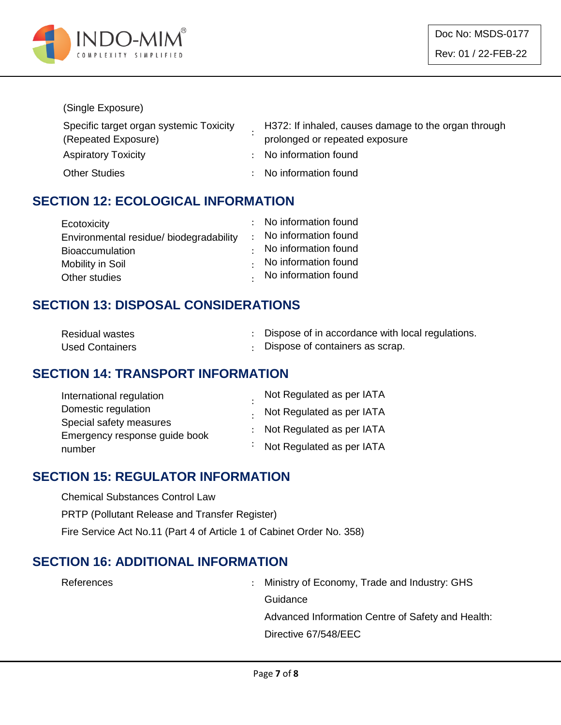

#### (Single Exposure)

| Specific target organ systemic Toxicity | H372: If inhaled, causes damage to the organ through |
|-----------------------------------------|------------------------------------------------------|
| (Repeated Exposure)                     | prolonged or repeated exposure                       |
| <b>Aspiratory Toxicity</b>              | : No information found                               |
| <b>Other Studies</b>                    | : No information found                               |

#### **SECTION 12: ECOLOGICAL INFORMATION**

| Ecotoxicity                             | : No information found       |
|-----------------------------------------|------------------------------|
| Environmental residue/ biodegradability | : No information found       |
| <b>Bioaccumulation</b>                  | $\cdot$ No information found |
| Mobility in Soil                        | No information found         |
| Other studies                           | . No information found       |

#### **SECTION 13: DISPOSAL CONSIDERATIONS**

| <b>Residual wastes</b> | Dispose of in accordance with local regulations. |
|------------------------|--------------------------------------------------|
| <b>Used Containers</b> | : Dispose of containers as scrap.                |

#### **SECTION 14: TRANSPORT INFORMATION**

| International regulation      | Not Regulated as per IATA         |
|-------------------------------|-----------------------------------|
| Domestic regulation           | . Not Regulated as per IATA       |
| Special safety measures       |                                   |
| Emergency response guide book | : Not Regulated as per IATA       |
| number                        | $\cdot$ Not Regulated as per IATA |

#### **SECTION 15: REGULATOR INFORMATION**

Chemical Substances Control Law

PRTP (Pollutant Release and Transfer Register)

Fire Service Act No.11 (Part 4 of Article 1 of Cabinet Order No. 358)

#### **SECTION 16: ADDITIONAL INFORMATION**

References : Ministry of Economy, Trade and Industry: GHS **Guidance** Advanced Information Centre of Safety and Health: Directive 67/548/EEC